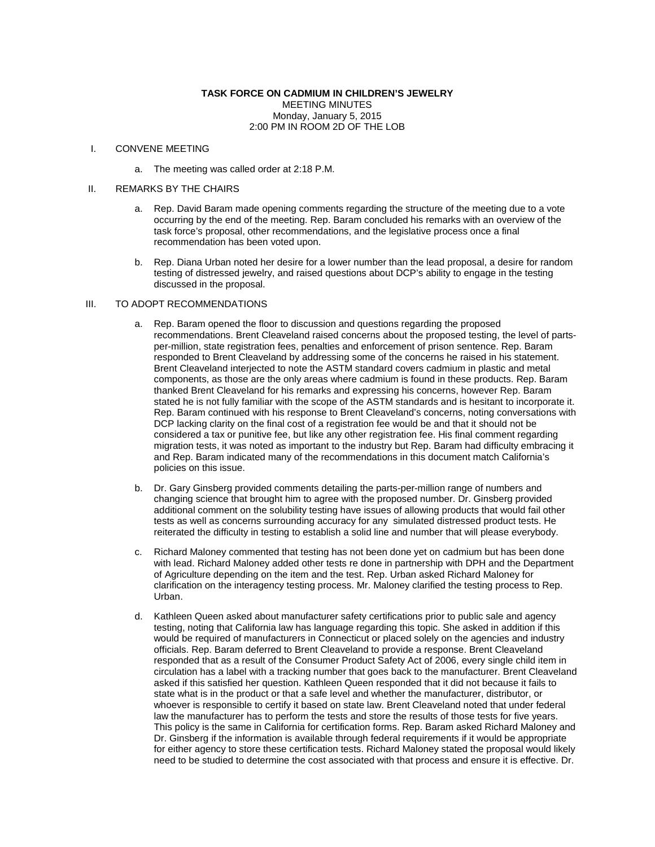#### **TASK FORCE ON CADMIUM IN CHILDREN'S JEWELRY** MEETING MINUTES Monday, January 5, 2015 2:00 PM IN ROOM 2D OF THE LOB

## I. CONVENE MEETING

a. The meeting was called order at 2:18 P.M.

### II. REMARKS BY THE CHAIRS

- a. Rep. David Baram made opening comments regarding the structure of the meeting due to a vote occurring by the end of the meeting. Rep. Baram concluded his remarks with an overview of the task force's proposal, other recommendations, and the legislative process once a final recommendation has been voted upon.
- b. Rep. Diana Urban noted her desire for a lower number than the lead proposal, a desire for random testing of distressed jewelry, and raised questions about DCP's ability to engage in the testing discussed in the proposal.

# III. TO ADOPT RECOMMENDATIONS

- a. Rep. Baram opened the floor to discussion and questions regarding the proposed recommendations. Brent Cleaveland raised concerns about the proposed testing, the level of partsper-million, state registration fees, penalties and enforcement of prison sentence. Rep. Baram responded to Brent Cleaveland by addressing some of the concerns he raised in his statement. Brent Cleaveland interjected to note the ASTM standard covers cadmium in plastic and metal components, as those are the only areas where cadmium is found in these products. Rep. Baram thanked Brent Cleaveland for his remarks and expressing his concerns, however Rep. Baram stated he is not fully familiar with the scope of the ASTM standards and is hesitant to incorporate it. Rep. Baram continued with his response to Brent Cleaveland's concerns, noting conversations with DCP lacking clarity on the final cost of a registration fee would be and that it should not be considered a tax or punitive fee, but like any other registration fee. His final comment regarding migration tests, it was noted as important to the industry but Rep. Baram had difficulty embracing it and Rep. Baram indicated many of the recommendations in this document match California's policies on this issue.
- b. Dr. Gary Ginsberg provided comments detailing the parts-per-million range of numbers and changing science that brought him to agree with the proposed number. Dr. Ginsberg provided additional comment on the solubility testing have issues of allowing products that would fail other tests as well as concerns surrounding accuracy for any simulated distressed product tests. He reiterated the difficulty in testing to establish a solid line and number that will please everybody.
- c. Richard Maloney commented that testing has not been done yet on cadmium but has been done with lead. Richard Maloney added other tests re done in partnership with DPH and the Department of Agriculture depending on the item and the test. Rep. Urban asked Richard Maloney for clarification on the interagency testing process. Mr. Maloney clarified the testing process to Rep. Urban.
- d. Kathleen Queen asked about manufacturer safety certifications prior to public sale and agency testing, noting that California law has language regarding this topic. She asked in addition if this would be required of manufacturers in Connecticut or placed solely on the agencies and industry officials. Rep. Baram deferred to Brent Cleaveland to provide a response. Brent Cleaveland responded that as a result of the Consumer Product Safety Act of 2006, every single child item in circulation has a label with a tracking number that goes back to the manufacturer. Brent Cleaveland asked if this satisfied her question. Kathleen Queen responded that it did not because it fails to state what is in the product or that a safe level and whether the manufacturer, distributor, or whoever is responsible to certify it based on state law. Brent Cleaveland noted that under federal law the manufacturer has to perform the tests and store the results of those tests for five years. This policy is the same in California for certification forms. Rep. Baram asked Richard Maloney and Dr. Ginsberg if the information is available through federal requirements if it would be appropriate for either agency to store these certification tests. Richard Maloney stated the proposal would likely need to be studied to determine the cost associated with that process and ensure it is effective. Dr.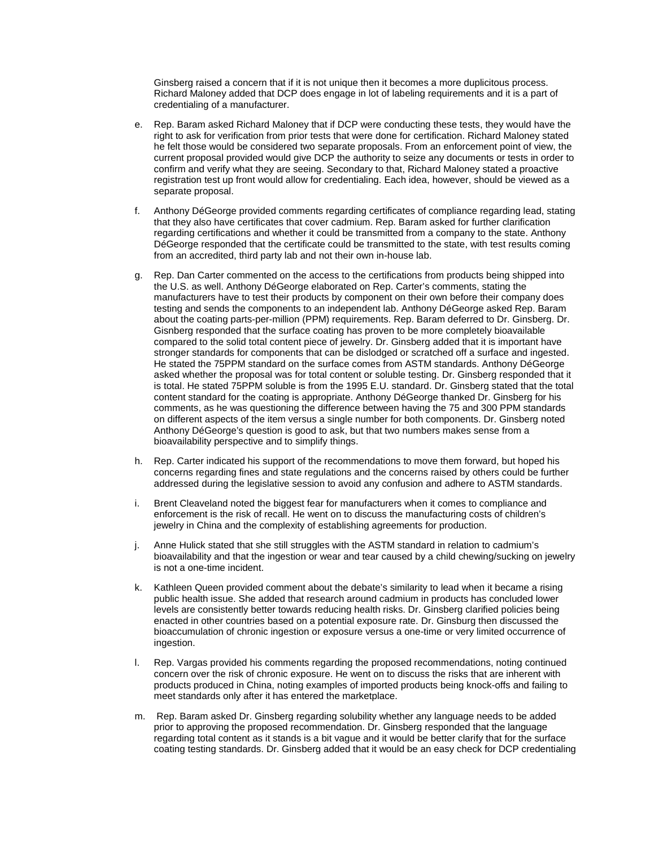Ginsberg raised a concern that if it is not unique then it becomes a more duplicitous process. Richard Maloney added that DCP does engage in lot of labeling requirements and it is a part of credentialing of a manufacturer.

- e. Rep. Baram asked Richard Maloney that if DCP were conducting these tests, they would have the right to ask for verification from prior tests that were done for certification. Richard Maloney stated he felt those would be considered two separate proposals. From an enforcement point of view, the current proposal provided would give DCP the authority to seize any documents or tests in order to confirm and verify what they are seeing. Secondary to that, Richard Maloney stated a proactive registration test up front would allow for credentialing. Each idea, however, should be viewed as a separate proposal.
- f. Anthony DéGeorge provided comments regarding certificates of compliance regarding lead, stating that they also have certificates that cover cadmium. Rep. Baram asked for further clarification regarding certifications and whether it could be transmitted from a company to the state. Anthony DéGeorge responded that the certificate could be transmitted to the state, with test results coming from an accredited, third party lab and not their own in-house lab.
- g. Rep. Dan Carter commented on the access to the certifications from products being shipped into the U.S. as well. Anthony DéGeorge elaborated on Rep. Carter's comments, stating the manufacturers have to test their products by component on their own before their company does testing and sends the components to an independent lab. Anthony DéGeorge asked Rep. Baram about the coating parts-per-million (PPM) requirements. Rep. Baram deferred to Dr. Ginsberg. Dr. Gisnberg responded that the surface coating has proven to be more completely bioavailable compared to the solid total content piece of jewelry. Dr. Ginsberg added that it is important have stronger standards for components that can be dislodged or scratched off a surface and ingested. He stated the 75PPM standard on the surface comes from ASTM standards. Anthony DéGeorge asked whether the proposal was for total content or soluble testing. Dr. Ginsberg responded that it is total. He stated 75PPM soluble is from the 1995 E.U. standard. Dr. Ginsberg stated that the total content standard for the coating is appropriate. Anthony DéGeorge thanked Dr. Ginsberg for his comments, as he was questioning the difference between having the 75 and 300 PPM standards on different aspects of the item versus a single number for both components. Dr. Ginsberg noted Anthony DéGeorge's question is good to ask, but that two numbers makes sense from a bioavailability perspective and to simplify things.
- h. Rep. Carter indicated his support of the recommendations to move them forward, but hoped his concerns regarding fines and state regulations and the concerns raised by others could be further addressed during the legislative session to avoid any confusion and adhere to ASTM standards.
- i. Brent Cleaveland noted the biggest fear for manufacturers when it comes to compliance and enforcement is the risk of recall. He went on to discuss the manufacturing costs of children's jewelry in China and the complexity of establishing agreements for production.
- j. Anne Hulick stated that she still struggles with the ASTM standard in relation to cadmium's bioavailability and that the ingestion or wear and tear caused by a child chewing/sucking on jewelry is not a one-time incident.
- k. Kathleen Queen provided comment about the debate's similarity to lead when it became a rising public health issue. She added that research around cadmium in products has concluded lower levels are consistently better towards reducing health risks. Dr. Ginsberg clarified policies being enacted in other countries based on a potential exposure rate. Dr. Ginsburg then discussed the bioaccumulation of chronic ingestion or exposure versus a one-time or very limited occurrence of ingestion.
- l. Rep. Vargas provided his comments regarding the proposed recommendations, noting continued concern over the risk of chronic exposure. He went on to discuss the risks that are inherent with products produced in China, noting examples of imported products being knock-offs and failing to meet standards only after it has entered the marketplace.
- m. Rep. Baram asked Dr. Ginsberg regarding solubility whether any language needs to be added prior to approving the proposed recommendation. Dr. Ginsberg responded that the language regarding total content as it stands is a bit vague and it would be better clarify that for the surface coating testing standards. Dr. Ginsberg added that it would be an easy check for DCP credentialing